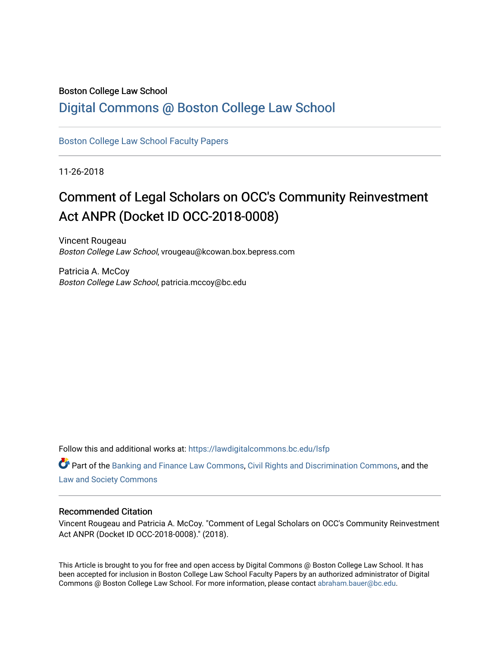#### Boston College Law School

# [Digital Commons @ Boston College Law School](https://lawdigitalcommons.bc.edu/)

[Boston College Law School Faculty Papers](https://lawdigitalcommons.bc.edu/lsfp) 

11-26-2018

# Comment of Legal Scholars on OCC's Community Reinvestment Act ANPR (Docket ID OCC-2018-0008)

Vincent Rougeau Boston College Law School, vrougeau@kcowan.box.bepress.com

Patricia A. McCoy Boston College Law School, patricia.mccoy@bc.edu

Follow this and additional works at: [https://lawdigitalcommons.bc.edu/lsfp](https://lawdigitalcommons.bc.edu/lsfp?utm_source=lawdigitalcommons.bc.edu%2Flsfp%2F1218&utm_medium=PDF&utm_campaign=PDFCoverPages) 

Part of the [Banking and Finance Law Commons,](http://network.bepress.com/hgg/discipline/833?utm_source=lawdigitalcommons.bc.edu%2Flsfp%2F1218&utm_medium=PDF&utm_campaign=PDFCoverPages) [Civil Rights and Discrimination Commons](http://network.bepress.com/hgg/discipline/585?utm_source=lawdigitalcommons.bc.edu%2Flsfp%2F1218&utm_medium=PDF&utm_campaign=PDFCoverPages), and the [Law and Society Commons](http://network.bepress.com/hgg/discipline/853?utm_source=lawdigitalcommons.bc.edu%2Flsfp%2F1218&utm_medium=PDF&utm_campaign=PDFCoverPages) 

#### Recommended Citation

Vincent Rougeau and Patricia A. McCoy. "Comment of Legal Scholars on OCC's Community Reinvestment Act ANPR (Docket ID OCC-2018-0008)." (2018).

This Article is brought to you for free and open access by Digital Commons @ Boston College Law School. It has been accepted for inclusion in Boston College Law School Faculty Papers by an authorized administrator of Digital Commons @ Boston College Law School. For more information, please contact [abraham.bauer@bc.edu.](mailto:abraham.bauer@bc.edu)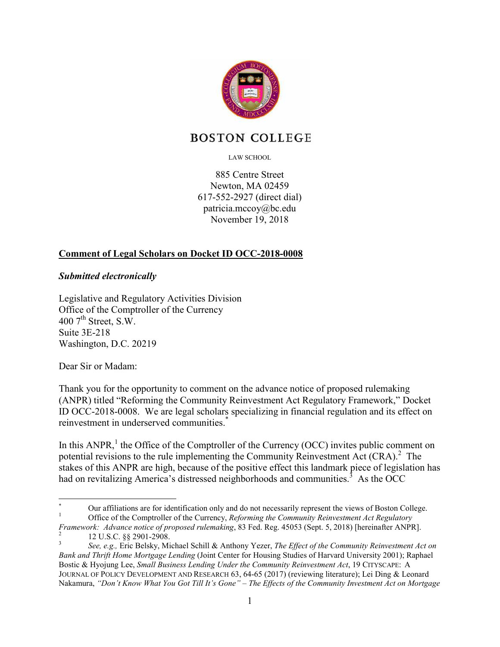

# **BOSTON COLLEGE**

LAW SCHOOL

885 Centre Street Newton, MA 02459 617-552-2927 (direct dial) patricia.mccoy@bc.edu November 19, 2018

## **Comment of Legal Scholars on Docket ID OCC-2018-0008**

#### *Submitted electronically*

Legislative and Regulatory Activities Division Office of the Comptroller of the Currency 400  $7<sup>th</sup>$  Street, S.W. Suite 3E-218 Washington, D.C. 20219

Dear Sir or Madam:

Thank you for the opportunity to comment on the advance notice of proposed rulemaking (ANPR) titled "Reforming the Community Reinvestment Act Regulatory Framework," Docket ID OCC-2018-0008. We are legal scholars specializing in financial regulation and its effect on reinvestment in underserved communities.<sup>\*</sup>

In this  $ANDR$ , the Office of the Comptroller of the Currency (OCC) invites public comment on potential revisions to the rule implementing the Community Reinvestment Act  $(CRA)$ .<sup>2</sup> The stakes of this ANPR are high, because of the positive effect this landmark piece of legislation has had on revitalizing America's distressed neighborhoods and communities.<sup>3</sup> As the OCC

<sup>&</sup>lt;u>.</u> \* Our affiliations are for identification only and do not necessarily represent the views of Boston College. 1 Office of the Comptroller of the Currency, *Reforming the Community Reinvestment Act Regulatory* 

*Framework: Advance notice of proposed rulemaking*, 83 Fed. Reg. 45053 (Sept. 5, 2018) [hereinafter ANPR]. 2 12 U.S.C. §§ 2901-2908.

<sup>3</sup> *See, e.g.,* Eric Belsky, Michael Schill & Anthony Yezer, *The Effect of the Community Reinvestment Act on Bank and Thrift Home Mortgage Lending* (Joint Center for Housing Studies of Harvard University 2001); Raphael Bostic & Hyojung Lee, *Small Business Lending Under the Community Reinvestment Act*, 19 CITYSCAPE: A JOURNAL OF POLICY DEVELOPMENT AND RESEARCH 63, 64-65 (2017) (reviewing literature); Lei Ding & Leonard Nakamura, *"Don't Know What You Got Till It's Gone" – The Effects of the Community Investment Act on Mortgage*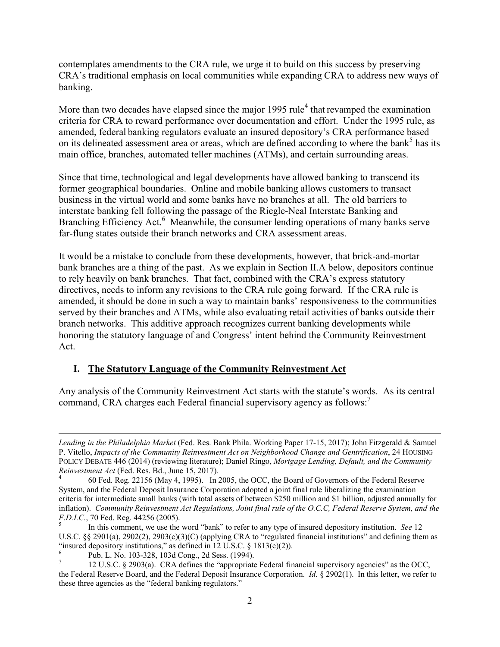contemplates amendments to the CRA rule, we urge it to build on this success by preserving CRA's traditional emphasis on local communities while expanding CRA to address new ways of banking.

More than two decades have elapsed since the major 1995 rule<sup>4</sup> that revamped the examination criteria for CRA to reward performance over documentation and effort. Under the 1995 rule, as amended, federal banking regulators evaluate an insured depository's CRA performance based on its delineated assessment area or areas, which are defined according to where the bank<sup>5</sup> has its main office, branches, automated teller machines (ATMs), and certain surrounding areas.

Since that time, technological and legal developments have allowed banking to transcend its former geographical boundaries. Online and mobile banking allows customers to transact business in the virtual world and some banks have no branches at all. The old barriers to interstate banking fell following the passage of the Riegle-Neal Interstate Banking and Branching Efficiency Act.<sup>6</sup> Meanwhile, the consumer lending operations of many banks serve far-flung states outside their branch networks and CRA assessment areas.

It would be a mistake to conclude from these developments, however, that brick-and-mortar bank branches are a thing of the past. As we explain in Section II.A below, depositors continue to rely heavily on bank branches. That fact, combined with the CRA's express statutory directives, needs to inform any revisions to the CRA rule going forward. If the CRA rule is amended, it should be done in such a way to maintain banks' responsiveness to the communities served by their branches and ATMs, while also evaluating retail activities of banks outside their branch networks. This additive approach recognizes current banking developments while honoring the statutory language of and Congress' intent behind the Community Reinvestment Act.

#### **I. The Statutory Language of the Community Reinvestment Act**

Any analysis of the Community Reinvestment Act starts with the statute's words. As its central command, CRA charges each Federal financial supervisory agency as follows:<sup>7</sup>

<u>.</u>

*Lending in the Philadelphia Market* (Fed. Res. Bank Phila. Working Paper 17-15, 2017); John Fitzgerald & Samuel P. Vitello, *Impacts of the Community Reinvestment Act on Neighborhood Change and Gentrification*, 24 HOUSING POLICY DEBATE 446 (2014) (reviewing literature); Daniel Ringo, *Mortgage Lending, Default, and the Community Reinvestment Act* (Fed. Res. Bd., June 15, 2017).

<sup>4</sup> 60 Fed. Reg. 22156 (May 4, 1995). In 2005, the OCC, the Board of Governors of the Federal Reserve System, and the Federal Deposit Insurance Corporation adopted a joint final rule liberalizing the examination criteria for intermediate small banks (with total assets of between \$250 million and \$1 billion, adjusted annually for inflation). *Community Reinvestment Act Regulations, Joint final rule of the O.C.C, Federal Reserve System, and the F.D.I.C.*, 70 Fed. Reg. 44256 (2005).

<sup>5</sup> In this comment, we use the word "bank" to refer to any type of insured depository institution. *See* 12 U.S.C. §§ 2901(a), 2902(2), 2903(c)(3)(C) (applying CRA to "regulated financial institutions" and defining them as "insured depository institutions," as defined in 12 U.S.C.  $\frac{\xi}{2}$  1813(c)(2)).

<sup>6</sup> Pub. L. No. 103-328, 103d Cong., 2d Sess. (1994).

<sup>7</sup> 12 U.S.C. § 2903(a). CRA defines the "appropriate Federal financial supervisory agencies" as the OCC, the Federal Reserve Board, and the Federal Deposit Insurance Corporation. *Id.* § 2902(1). In this letter, we refer to these three agencies as the "federal banking regulators."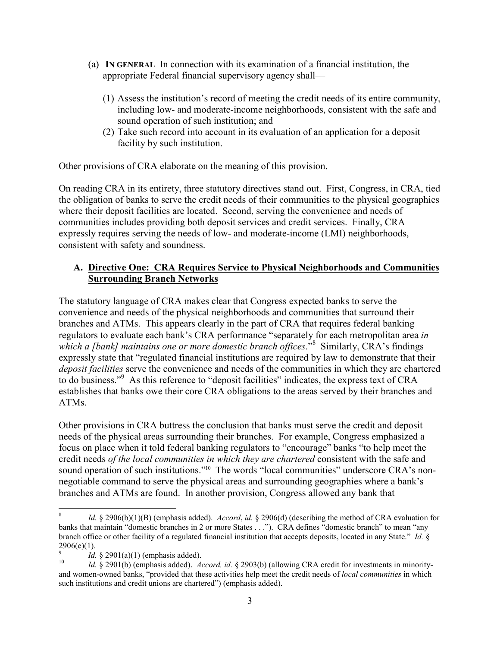- (a) **IN GENERAL** In connection with its examination of a financial institution, the appropriate Federal financial supervisory agency shall—
	- (1) Assess the institution's record of meeting the credit needs of its entire community, including low- and moderate-income neighborhoods, consistent with the safe and sound operation of such institution; and
	- (2) Take such record into account in its evaluation of an application for a deposit facility by such institution.

Other provisions of CRA elaborate on the meaning of this provision.

On reading CRA in its entirety, three statutory directives stand out. First, Congress, in CRA, tied the obligation of banks to serve the credit needs of their communities to the physical geographies where their deposit facilities are located. Second, serving the convenience and needs of communities includes providing both deposit services and credit services. Finally, CRA expressly requires serving the needs of low- and moderate-income (LMI) neighborhoods, consistent with safety and soundness.

#### **A. Directive One: CRA Requires Service to Physical Neighborhoods and Communities Surrounding Branch Networks**

The statutory language of CRA makes clear that Congress expected banks to serve the convenience and needs of the physical neighborhoods and communities that surround their branches and ATMs. This appears clearly in the part of CRA that requires federal banking regulators to evaluate each bank's CRA performance "separately for each metropolitan area *in*  which a [bank] maintains one or more domestic branch offices.<sup>38</sup> Similarly, CRA's findings expressly state that "regulated financial institutions are required by law to demonstrate that their *deposit facilities* serve the convenience and needs of the communities in which they are chartered to do business."<sup>9</sup> As this reference to "deposit facilities" indicates, the express text of CRA establishes that banks owe their core CRA obligations to the areas served by their branches and ATMs.

Other provisions in CRA buttress the conclusion that banks must serve the credit and deposit needs of the physical areas surrounding their branches. For example, Congress emphasized a focus on place when it told federal banking regulators to "encourage" banks "to help meet the credit needs *of the local communities in which they are chartered* consistent with the safe and sound operation of such institutions."<sup>10</sup> The words "local communities" underscore CRA's nonnegotiable command to serve the physical areas and surrounding geographies where a bank's branches and ATMs are found. In another provision, Congress allowed any bank that

<sup>&</sup>lt;u>.</u> 8 *Id.* § 2906(b)(1)(B) (emphasis added). *Accord*, *id.* § 2906(d) (describing the method of CRA evaluation for banks that maintain "domestic branches in 2 or more States . . ."). CRA defines "domestic branch" to mean "any branch office or other facility of a regulated financial institution that accepts deposits, located in any State." *Id.* §  $2906(e)(1)$ .

<sup>9</sup> *Id.* § 2901(a)(1) (emphasis added).

<sup>10</sup> *Id.* § 2901(b) (emphasis added). *Accord, id.* § 2903(b) (allowing CRA credit for investments in minorityand women-owned banks, "provided that these activities help meet the credit needs of *local communities* in which such institutions and credit unions are chartered") (emphasis added).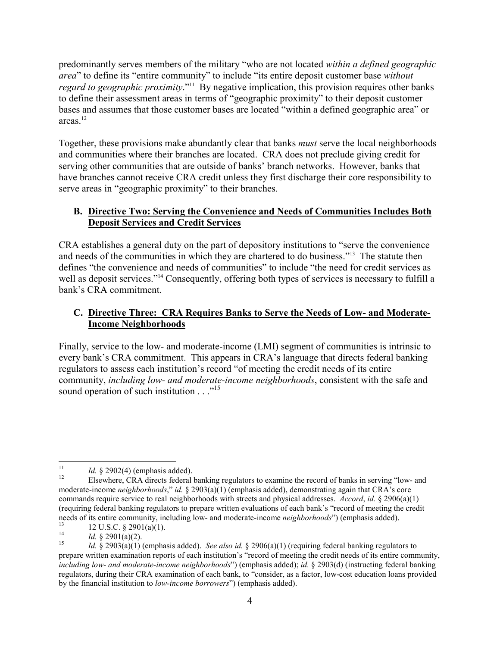predominantly serves members of the military "who are not located *within a defined geographic area*" to define its "entire community" to include "its entire deposit customer base *without regard to geographic proximity*."<sup>11</sup> By negative implication, this provision requires other banks to define their assessment areas in terms of "geographic proximity" to their deposit customer bases and assumes that those customer bases are located "within a defined geographic area" or areas. $12$ 

Together, these provisions make abundantly clear that banks *must* serve the local neighborhoods and communities where their branches are located. CRA does not preclude giving credit for serving other communities that are outside of banks' branch networks. However, banks that have branches cannot receive CRA credit unless they first discharge their core responsibility to serve areas in "geographic proximity" to their branches.

#### **B. Directive Two: Serving the Convenience and Needs of Communities Includes Both Deposit Services and Credit Services**

CRA establishes a general duty on the part of depository institutions to "serve the convenience and needs of the communities in which they are chartered to do business."<sup>13</sup> The statute then defines "the convenience and needs of communities" to include "the need for credit services as well as deposit services."<sup>14</sup> Consequently, offering both types of services is necessary to fulfill a bank's CRA commitment.

## **C. Directive Three: CRA Requires Banks to Serve the Needs of Low- and Moderate-Income Neighborhoods**

Finally, service to the low- and moderate-income (LMI) segment of communities is intrinsic to every bank's CRA commitment. This appears in CRA's language that directs federal banking regulators to assess each institution's record "of meeting the credit needs of its entire community, *including low- and moderate-income neighborhoods*, consistent with the safe and sound operation of such institution . . ."<sup>15</sup>

 $\frac{1}{11}$ <sup>11</sup> *Id.* § 2902(4) (emphasis added).

<sup>12</sup> Elsewhere, CRA directs federal banking regulators to examine the record of banks in serving "low- and moderate-income *neighborhoods*," *id.* § 2903(a)(1) (emphasis added), demonstrating again that CRA's core commands require service to real neighborhoods with streets and physical addresses. *Accord*, *id.* § 2906(a)(1) (requiring federal banking regulators to prepare written evaluations of each bank's "record of meeting the credit needs of its entire community, including low- and moderate-income *neighborhoods*") (emphasis added).

<sup>13</sup> 12 U.S.C. § 2901(a)(1). 14

*Id.* § 2901(a)(2).

<sup>15</sup> *Id.* § 2903(a)(1) (emphasis added). *See also id.* § 2906(a)(1) (requiring federal banking regulators to prepare written examination reports of each institution's "record of meeting the credit needs of its entire community, *including low- and moderate-income neighborhoods*") (emphasis added); *id.* § 2903(d) (instructing federal banking regulators, during their CRA examination of each bank, to "consider, as a factor, low-cost education loans provided by the financial institution to *low-income borrowers*") (emphasis added).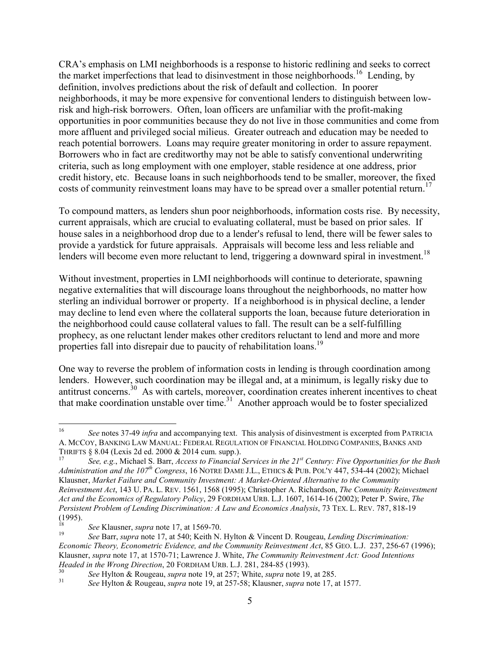CRA's emphasis on LMI neighborhoods is a response to historic redlining and seeks to correct the market imperfections that lead to disinvestment in those neighborhoods.<sup>16</sup> Lending, by definition, involves predictions about the risk of default and collection. In poorer neighborhoods, it may be more expensive for conventional lenders to distinguish between lowrisk and high-risk borrowers. Often, loan officers are unfamiliar with the profit-making opportunities in poor communities because they do not live in those communities and come from more affluent and privileged social milieus. Greater outreach and education may be needed to reach potential borrowers. Loans may require greater monitoring in order to assure repayment. Borrowers who in fact are creditworthy may not be able to satisfy conventional underwriting criteria, such as long employment with one employer, stable residence at one address, prior credit history, etc. Because loans in such neighborhoods tend to be smaller, moreover, the fixed costs of community reinvestment loans may have to be spread over a smaller potential return.<sup>17</sup>

To compound matters, as lenders shun poor neighborhoods, information costs rise. By necessity, current appraisals, which are crucial to evaluating collateral, must be based on prior sales. If house sales in a neighborhood drop due to a lender's refusal to lend, there will be fewer sales to provide a yardstick for future appraisals. Appraisals will become less and less reliable and lenders will become even more reluctant to lend, triggering a downward spiral in investment.<sup>18</sup>

Without investment, properties in LMI neighborhoods will continue to deteriorate, spawning negative externalities that will discourage loans throughout the neighborhoods, no matter how sterling an individual borrower or property. If a neighborhood is in physical decline, a lender may decline to lend even where the collateral supports the loan, because future deterioration in the neighborhood could cause collateral values to fall. The result can be a self-fulfilling prophecy, as one reluctant lender makes other creditors reluctant to lend and more and more properties fall into disrepair due to paucity of rehabilitation loans.<sup>19</sup>

One way to reverse the problem of information costs in lending is through coordination among lenders. However, such coordination may be illegal and, at a minimum, is legally risky due to antitrust concerns.<sup>30</sup> As with cartels, moreover, coordination creates inherent incentives to cheat that make coordination unstable over time.<sup>31</sup> Another approach would be to foster specialized

 $\frac{1}{16}$  *See* notes 37-49 *infra* and accompanying text. This analysis of disinvestment is excerpted from PATRICIA A. MCCOY, BANKING LAW MANUAL: FEDERAL REGULATION OF FINANCIAL HOLDING COMPANIES, BANKS AND THRIFTS § 8.04 (Lexis 2d ed. 2000 & 2014 cum. supp.).

<sup>17</sup> *See, e.g.*, Michael S. Barr, *Access to Financial Services in the 21st Century: Five Opportunities for the Bush Administration and the 107<sup>th</sup> Congress*, 16 NOTRE DAME J.L., ETHICS & PUB. POL'Y 447, 534-44 (2002); Michael Klausner, *Market Failure and Community Investment: A Market-Oriented Alternative to the Community Reinvestment Act*, 143 U. PA. L. REV. 1561, 1568 (1995); Christopher A. Richardson, *The Community Reinvestment Act and the Economics of Regulatory Policy*, 29 FORDHAM URB. L.J. 1607, 1614-16 (2002); Peter P. Swire, *The Persistent Problem of Lending Discrimination: A Law and Economics Analysis*, 73 TEX. L. REV. 787, 818-19 (1995).

<sup>18</sup> *See* Klausner, *supra* note 17, at 1569-70.

<sup>19</sup> *See* Barr, *supra* note 17, at 540; Keith N. Hylton & Vincent D. Rougeau, *Lending Discrimination: Economic Theory, Econometric Evidence, and the Community Reinvestment Act*, 85 GEO. L.J. 237, 256-67 (1996); Klausner, *supra* note 17, at 1570-71; Lawrence J. White, *The Community Reinvestment Act: Good Intentions Headed in the Wrong Direction*, 20 FORDHAM URB. L.J. 281, 284-85 (1993).

<sup>30</sup> *See* Hylton & Rougeau, *supra* note 19, at 257; White, *supra* note 19, at 285.

<sup>31</sup> *See* Hylton & Rougeau, *supra* note 19, at 257-58; Klausner, *supra* note 17, at 1577.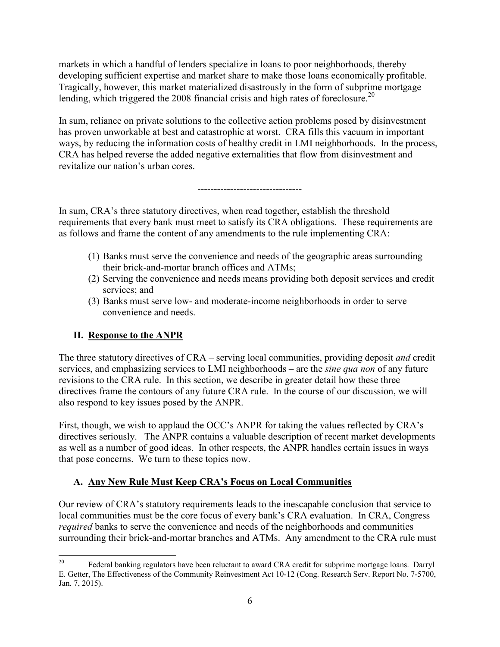markets in which a handful of lenders specialize in loans to poor neighborhoods, thereby developing sufficient expertise and market share to make those loans economically profitable. Tragically, however, this market materialized disastrously in the form of subprime mortgage lending, which triggered the 2008 financial crisis and high rates of foreclosure.<sup>20</sup>

In sum, reliance on private solutions to the collective action problems posed by disinvestment has proven unworkable at best and catastrophic at worst. CRA fills this vacuum in important ways, by reducing the information costs of healthy credit in LMI neighborhoods. In the process, CRA has helped reverse the added negative externalities that flow from disinvestment and revitalize our nation's urban cores.

--------------------------------

In sum, CRA's three statutory directives, when read together, establish the threshold requirements that every bank must meet to satisfy its CRA obligations. These requirements are as follows and frame the content of any amendments to the rule implementing CRA:

- (1) Banks must serve the convenience and needs of the geographic areas surrounding their brick-and-mortar branch offices and ATMs;
- (2) Serving the convenience and needs means providing both deposit services and credit services; and
- (3) Banks must serve low- and moderate-income neighborhoods in order to serve convenience and needs.

## **II. Response to the ANPR**

The three statutory directives of CRA – serving local communities, providing deposit *and* credit services, and emphasizing services to LMI neighborhoods – are the *sine qua non* of any future revisions to the CRA rule. In this section, we describe in greater detail how these three directives frame the contours of any future CRA rule. In the course of our discussion, we will also respond to key issues posed by the ANPR.

First, though, we wish to applaud the OCC's ANPR for taking the values reflected by CRA's directives seriously. The ANPR contains a valuable description of recent market developments as well as a number of good ideas. In other respects, the ANPR handles certain issues in ways that pose concerns. We turn to these topics now.

## **A. Any New Rule Must Keep CRA's Focus on Local Communities**

Our review of CRA's statutory requirements leads to the inescapable conclusion that service to local communities must be the core focus of every bank's CRA evaluation. In CRA, Congress *required* banks to serve the convenience and needs of the neighborhoods and communities surrounding their brick-and-mortar branches and ATMs. Any amendment to the CRA rule must

<sup>20</sup> Federal banking regulators have been reluctant to award CRA credit for subprime mortgage loans. Darryl E. Getter, The Effectiveness of the Community Reinvestment Act 10-12 (Cong. Research Serv. Report No. 7-5700, Jan. 7, 2015).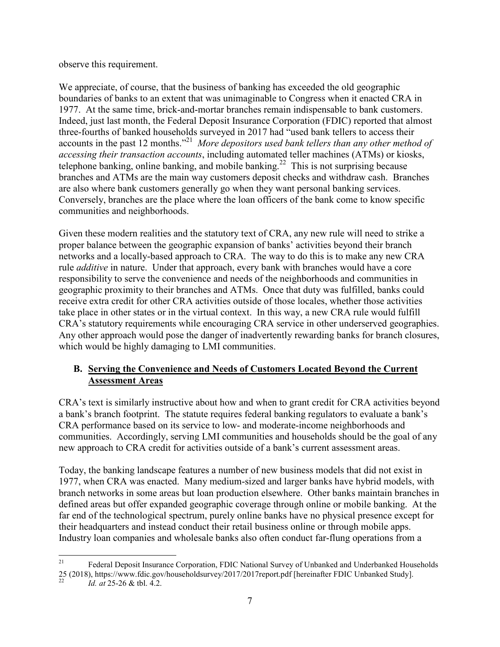observe this requirement.

We appreciate, of course, that the business of banking has exceeded the old geographic boundaries of banks to an extent that was unimaginable to Congress when it enacted CRA in 1977. At the same time, brick-and-mortar branches remain indispensable to bank customers. Indeed, just last month, the Federal Deposit Insurance Corporation (FDIC) reported that almost three-fourths of banked households surveyed in 2017 had "used bank tellers to access their accounts in the past 12 months."<sup>21</sup> More depositors used bank tellers than any other method of *accessing their transaction accounts*, including automated teller machines (ATMs) or kiosks, telephone banking, online banking, and mobile banking.<sup>22</sup> This is not surprising because branches and ATMs are the main way customers deposit checks and withdraw cash. Branches are also where bank customers generally go when they want personal banking services. Conversely, branches are the place where the loan officers of the bank come to know specific communities and neighborhoods.

Given these modern realities and the statutory text of CRA, any new rule will need to strike a proper balance between the geographic expansion of banks' activities beyond their branch networks and a locally-based approach to CRA. The way to do this is to make any new CRA rule *additive* in nature. Under that approach, every bank with branches would have a core responsibility to serve the convenience and needs of the neighborhoods and communities in geographic proximity to their branches and ATMs. Once that duty was fulfilled, banks could receive extra credit for other CRA activities outside of those locales, whether those activities take place in other states or in the virtual context. In this way, a new CRA rule would fulfill CRA's statutory requirements while encouraging CRA service in other underserved geographies. Any other approach would pose the danger of inadvertently rewarding banks for branch closures, which would be highly damaging to LMI communities.

#### **B. Serving the Convenience and Needs of Customers Located Beyond the Current Assessment Areas**

CRA's text is similarly instructive about how and when to grant credit for CRA activities beyond a bank's branch footprint. The statute requires federal banking regulators to evaluate a bank's CRA performance based on its service to low- and moderate-income neighborhoods and communities. Accordingly, serving LMI communities and households should be the goal of any new approach to CRA credit for activities outside of a bank's current assessment areas.

Today, the banking landscape features a number of new business models that did not exist in 1977, when CRA was enacted. Many medium-sized and larger banks have hybrid models, with branch networks in some areas but loan production elsewhere. Other banks maintain branches in defined areas but offer expanded geographic coverage through online or mobile banking. At the far end of the technological spectrum, purely online banks have no physical presence except for their headquarters and instead conduct their retail business online or through mobile apps. Industry loan companies and wholesale banks also often conduct far-flung operations from a

 $21\,$ <sup>21</sup> Federal Deposit Insurance Corporation, FDIC National Survey of Unbanked and Underbanked Households 25 (2018), https://www.fdic.gov/householdsurvey/2017/2017 report.pdf [hereinafter FDIC Unbanked Study].<br>
22 *M* at 25.26 & th, A 2

*Id. at* 25-26 & tbl. 4.2.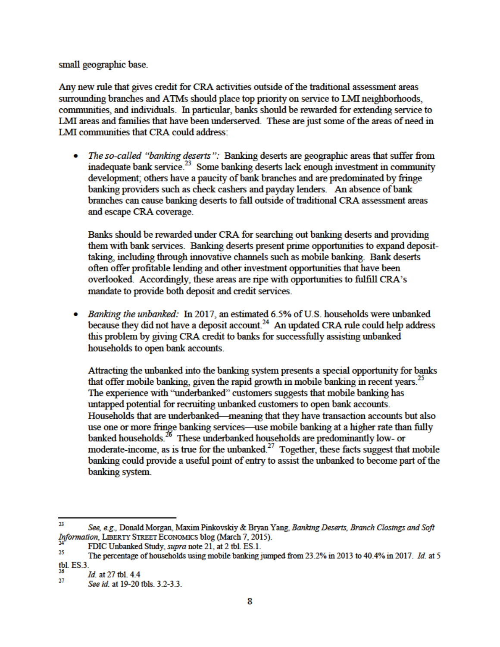small geographic base.

Any new rule that gives credit for CRA activities outside of the traditional assessment areas surrounding branches and ATMs should place top priority on service to LMI neighborhoods, communities, and individuals. In particular, banks should be rewarded for extending service to LMI areas and families that have been underserved. These are just some of the areas of need in LMI communities that CRA could address:

The so-called "banking deserts": Banking deserts are geographic areas that suffer from ina de quate bank service.<sup>23</sup> Some banking deserts lack enough investment in community devel opment; others have a paucity of bank branches and are predominated by fringe banking providers such as check cashers and payday lenders. An absence of bank branches can cause banking deserts to fall outside of traditional CRA assessment areas and escape CRA coverage.

Banks should be rewarded under CRA for searching out banking deserts and providing them with bank services. Banking deserts present prime opportunities to expand deposittaking, including through innovative channels such as mobile banking. Bank deserts often offer profitable lending and other investment opportunities that have been overlooked. Accordingly, these areas are ripe with opportunities to fulfill CRA's mandate to provide both deposit and credit services.

Banking the unbanked: In 2017, an estimated 6.5% of U.S. households were unbanked because they did not have a deposit account.<sup>24</sup> An updated CRA rule could help address this problem by giving CRA credit to banks for successfully assisting unbanked households to open bank accounts.

Attracting the unbanked into the banking system presents a special opportunity for banks that offer mobile banking, given the rapid growth in mobile banking in recent years.<sup>25</sup> The experience with "underbanked" customers suggests that mobile banking has untapped potential for recruiting unbanked customers to open bank accounts. Households that are underbanked—meaning that they have transaction accounts but also use one or more fringe banking services—use mobile banking at a higher rate than fully  $b$ anked households.<sup>26</sup> These underbanked households are predominantly low- or moderate-income, as is true for the unbanked.<sup>27</sup> Together, these facts suggest that mobile banking could provide a useful point of entry to assist the unbanked to become part of the banking system.

 $\overline{a}$ 

<sup>23</sup> See, e.g., Donald Morgan, Maxim Pinkovskiy & Bryan Yang, Banking Deserts, Branch Closings and Soft Information, LIBERTY STREET ECONOMICS blog (March 7, 2015).

FDIC Unbanked Study, *supra* note 21, at 2 tbl. ES.1.

<sup>25</sup> The percentage of households using mobile banking jumped from 23.2% in 2013 to 40.4% in 2017. Id. at 5 tbl. ES.3.

<sup>26</sup> Id. at 27 tbl. 4.4

<sup>27</sup> See id. at 19-20 tbls. 3.2-3.3.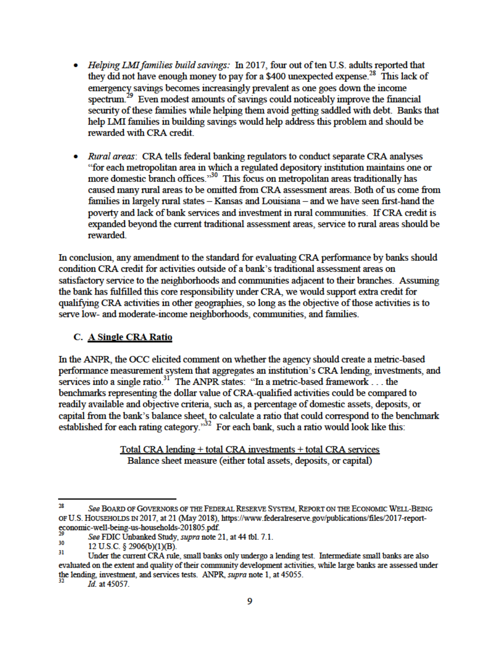- Helping LMI families build savings: In 2017, four out of ten U.S. adults reported that they did not have enough money to pay for a \$400 unexpected expense.<sup>28</sup> This lack of emergency savings becomes increasingly prevalent as one goes down the income  $\frac{1}{2}$  Even modest amounts of savings could noticeably improve the financial security of these families while helping them avoid getting saddled with debt. Banks that help LMI families in building savings would help address this problem and should be rewarded with CRA credit.
- Rural areas: CRA tells federal banking regulators to conduct separate CRA analyses "for each metropolitan area in which a regulated depository institution maintains one or more domestic branch offices."<sup>30</sup> This focus on metropolitan areas traditionally has caused many rural areas to be omitted from CRA assessment areas. Both of us come from families in largely rural states – Kansas and Louisiana – and we have seen first-hand the poverty and lack of bank services and investment in rural communities. If CRA credit is expanded beyond the current traditional assessment areas, service to rural areas should be rewarded

In conclusion, any amendment to the standard for evaluating CRA performance by banks should condition CRA credit for activities outside of a bank's traditional assessment areas on satisfactory service to the neighborhoods and communities adjacent to their branches. Assuming the bank has fulfilled this core responsibility under CRA, we would support extra credit for qualifying CRA activities in other geographies, so long as the objective of those activities is to serve low- and moderate-income neighborhoods, communities, and families.

#### C. A Single CRA Ratio

In the ANPR, the OCC elicited comment on whether the agency should create a metric-based performance measurement system that aggregates an institution's CRA lending, investments, and services into a single ratio.<sup>31</sup> The ANPR states: "In a metric-based framework... the benchmarks representing the dollar value of CRA-qualified activities could be compared to readily available and objective criteria, such as, a percentage of domestic assets, deposits, or capital from the bank's balance sheet, to calculate a ratio that could correspond to the benchmark  $\frac{1}{2}$  established for each rating category.<sup>332</sup> For each bank, such a ratio would look like this:

> Total CRA lending + total CRA investments + total CRA services Balance sheet measure (either total assets, deposits, or capital)

 $\overline{a}$ 

<sup>28</sup> See BOARD OF GOVERNORS OF THE FEDERAL RESERVE SYSTEM, REPORT ON THE ECONOMIC WELL-BEING OF U.S. HOUSEHOLDS IN 2017, at 21 (May 2018), https://www.federalreserve.gov/publications/files/2017-reporteconomic-well-being-us-households-201805.pdf.

See FDIC Unbanked Study, supra note 21, at 44 tbl. 7.1.

<sup>30</sup> 12 U.S.C. § 2906(b)(1)(B).

<sup>31</sup> Under the current CRA rule, small banks only undergo a lending test. Intermediate small banks are also evaluated on the extent and quality of their community development activities, while large banks are assessed under the lending, investment, and services tests. ANPR, *supra* note 1, at 45055.

Id. at 45057.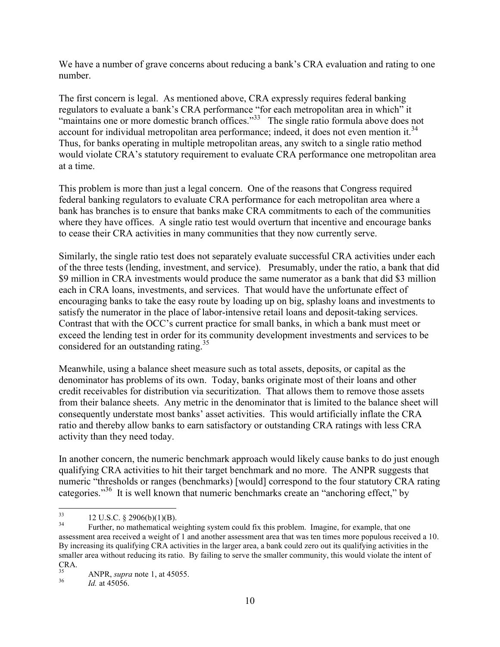We have a number of grave concerns about reducing a bank's CRA evaluation and rating to one number.

The first concern is legal. As mentioned above, CRA expressly requires federal banking regulators to evaluate a bank's CRA performance "for each metropolitan area in which" it "maintains one or more domestic branch offices."<sup>33</sup> The single ratio formula above does not account for individual metropolitan area performance; indeed, it does not even mention it.<sup>34</sup> Thus, for banks operating in multiple metropolitan areas, any switch to a single ratio method would violate CRA's statutory requirement to evaluate CRA performance one metropolitan area at a time.

This problem is more than just a legal concern. One of the reasons that Congress required federal banking regulators to evaluate CRA performance for each metropolitan area where a bank has branches is to ensure that banks make CRA commitments to each of the communities where they have offices. A single ratio test would overturn that incentive and encourage banks to cease their CRA activities in many communities that they now currently serve.

Similarly, the single ratio test does not separately evaluate successful CRA activities under each of the three tests (lending, investment, and service). Presumably, under the ratio, a bank that did \$9 million in CRA investments would produce the same numerator as a bank that did \$3 million each in CRA loans, investments, and services. That would have the unfortunate effect of encouraging banks to take the easy route by loading up on big, splashy loans and investments to satisfy the numerator in the place of labor-intensive retail loans and deposit-taking services. Contrast that with the OCC's current practice for small banks, in which a bank must meet or exceed the lending test in order for its community development investments and services to be considered for an outstanding rating.<sup>35</sup>

Meanwhile, using a balance sheet measure such as total assets, deposits, or capital as the denominator has problems of its own. Today, banks originate most of their loans and other credit receivables for distribution via securitization. That allows them to remove those assets from their balance sheets. Any metric in the denominator that is limited to the balance sheet will consequently understate most banks' asset activities. This would artificially inflate the CRA ratio and thereby allow banks to earn satisfactory or outstanding CRA ratings with less CRA activity than they need today.

In another concern, the numeric benchmark approach would likely cause banks to do just enough qualifying CRA activities to hit their target benchmark and no more. The ANPR suggests that numeric "thresholds or ranges (benchmarks) [would] correspond to the four statutory CRA rating categories."<sup>36</sup> It is well known that numeric benchmarks create an "anchoring effect," by

<sup>33</sup>  $\frac{33}{34}$  12 U.S.C. § 2906(b)(1)(B).

Further, no mathematical weighting system could fix this problem. Imagine, for example, that one assessment area received a weight of 1 and another assessment area that was ten times more populous received a 10. By increasing its qualifying CRA activities in the larger area, a bank could zero out its qualifying activities in the smaller area without reducing its ratio. By failing to serve the smaller community, this would violate the intent of  $CRA.$ <sub>35</sub>

<sup>35</sup> ANPR, *supra* note 1, at 45055.

<sup>36</sup> *Id.* at 45056.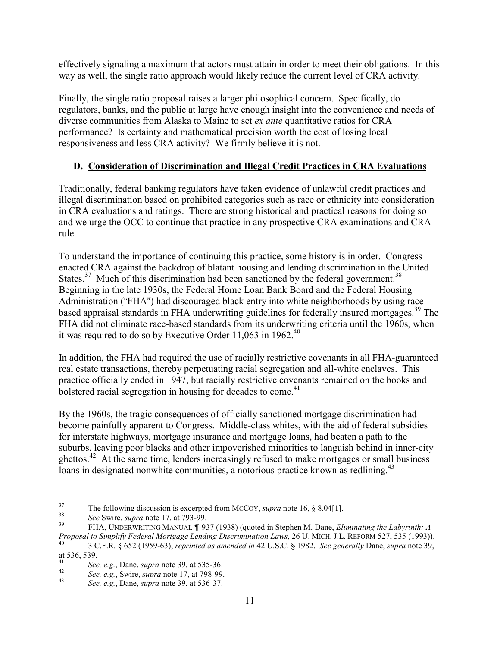effectively signaling a maximum that actors must attain in order to meet their obligations. In this way as well, the single ratio approach would likely reduce the current level of CRA activity.

Finally, the single ratio proposal raises a larger philosophical concern. Specifically, do regulators, banks, and the public at large have enough insight into the convenience and needs of diverse communities from Alaska to Maine to set *ex ante* quantitative ratios for CRA performance? Is certainty and mathematical precision worth the cost of losing local responsiveness and less CRA activity? We firmly believe it is not.

## **D. Consideration of Discrimination and Illegal Credit Practices in CRA Evaluations**

Traditionally, federal banking regulators have taken evidence of unlawful credit practices and illegal discrimination based on prohibited categories such as race or ethnicity into consideration in CRA evaluations and ratings. There are strong historical and practical reasons for doing so and we urge the OCC to continue that practice in any prospective CRA examinations and CRA rule.

To understand the importance of continuing this practice, some history is in order. Congress enacted CRA against the backdrop of blatant housing and lending discrimination in the United States. $37$  Much of this discrimination had been sanctioned by the federal government.<sup>38</sup> Beginning in the late 1930s, the Federal Home Loan Bank Board and the Federal Housing Administration ("FHA") had discouraged black entry into white neighborhoods by using racebased appraisal standards in FHA underwriting guidelines for federally insured mortgages.<sup>39</sup> The FHA did not eliminate race-based standards from its underwriting criteria until the 1960s, when it was required to do so by Executive Order  $11,063$  in  $1962.<sup>40</sup>$ 

In addition, the FHA had required the use of racially restrictive covenants in all FHA-guaranteed real estate transactions, thereby perpetuating racial segregation and all-white enclaves. This practice officially ended in 1947, but racially restrictive covenants remained on the books and bolstered racial segregation in housing for decades to come.<sup>41</sup>

By the 1960s, the tragic consequences of officially sanctioned mortgage discrimination had become painfully apparent to Congress. Middle-class whites, with the aid of federal subsidies for interstate highways, mortgage insurance and mortgage loans, had beaten a path to the suburbs, leaving poor blacks and other impoverished minorities to languish behind in inner-city ghettos.<sup>42</sup> At the same time, lenders increasingly refused to make mortgages or small business loans in designated nonwhite communities, a notorious practice known as redlining.<sup>43</sup>

<sup>37</sup> <sup>37</sup> The following discussion is excerpted from MCCOY, *supra* note 16, § 8.04[1].

<sup>38</sup> *See* Swire, *supra* note 17, at 793-99.

<sup>39</sup> FHA, UNDERWRITING MANUAL & 937 (1938) (quoted in Stephen M. Dane, *Eliminating the Labyrinth: A Proposal to Simplify Federal Mortgage Lending Discrimination Laws*, 26 U. MICH. J.L. REFORM 527, 535 (1993)). <sup>40</sup> 3 C.F.R. § 652 (1959-63), *reprinted as amended in* 42 U.S.C. ' 1982. *See generally* Dane, *supra* note 39,

at 536, 539.

<sup>41</sup> *See, e.g.*, Dane, *supra* note 39, at 535-36. 42

*See, e.g.*, Swire, *supra* note 17, at 798-99.

<sup>43</sup> *See, e.g.*, Dane, *supra* note 39, at 536-37.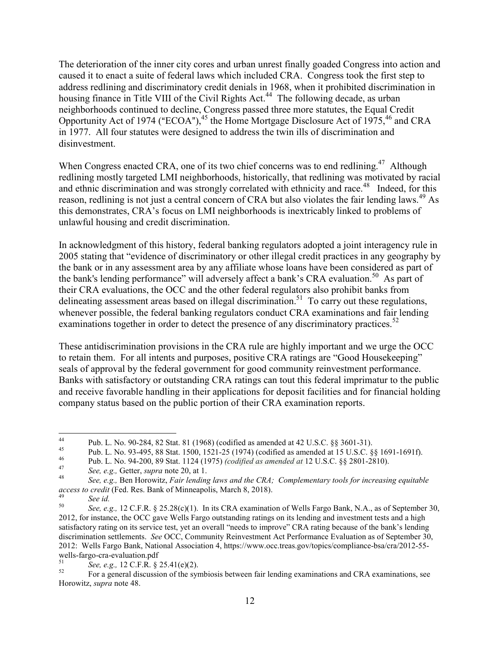The deterioration of the inner city cores and urban unrest finally goaded Congress into action and caused it to enact a suite of federal laws which included CRA. Congress took the first step to address redlining and discriminatory credit denials in 1968, when it prohibited discrimination in housing finance in Title VIII of the Civil Rights Act.<sup>44</sup> The following decade, as urban neighborhoods continued to decline, Congress passed three more statutes, the Equal Credit Opportunity Act of 1974 ("ECOA"), $45$  the Home Mortgage Disclosure Act of 1975, $46$  and CRA in 1977. All four statutes were designed to address the twin ills of discrimination and disinvestment.

When Congress enacted CRA, one of its two chief concerns was to end redlining.<sup>47</sup> Although redlining mostly targeted LMI neighborhoods, historically, that redlining was motivated by racial and ethnic discrimination and was strongly correlated with ethnicity and race.<sup>48</sup> Indeed, for this reason, redlining is not just a central concern of CRA but also violates the fair lending laws.<sup>49</sup> As this demonstrates, CRA's focus on LMI neighborhoods is inextricably linked to problems of unlawful housing and credit discrimination.

In acknowledgment of this history, federal banking regulators adopted a joint interagency rule in 2005 stating that "evidence of discriminatory or other illegal credit practices in any geography by the bank or in any assessment area by any affiliate whose loans have been considered as part of the bank's lending performance" will adversely affect a bank's CRA evaluation.<sup>50</sup> As part of their CRA evaluations, the OCC and the other federal regulators also prohibit banks from delineating assessment areas based on illegal discrimination.<sup>51</sup> To carry out these regulations, whenever possible, the federal banking regulators conduct CRA examinations and fair lending examinations together in order to detect the presence of any discriminatory practices.<sup>52</sup>

These antidiscrimination provisions in the CRA rule are highly important and we urge the OCC to retain them. For all intents and purposes, positive CRA ratings are "Good Housekeeping" seals of approval by the federal government for good community reinvestment performance. Banks with satisfactory or outstanding CRA ratings can tout this federal imprimatur to the public and receive favorable handling in their applications for deposit facilities and for financial holding company status based on the public portion of their CRA examination reports.

 $44$ <sup>44</sup> Pub. L. No. 90-284, 82 Stat. 81 (1968) (codified as amended at 42 U.S.C. §§ 3601-31).

<sup>&</sup>lt;sup>45</sup> Pub. L. No. 93-495, 88 Stat. 1500, 1521-25 (1974) (codified as amended at 15 U.S.C. §§ 1691-1691f).

<sup>46</sup> Pub. L. No. 94-200, 89 Stat. 1124 (1975) *(codified as amended at* 12 U.S.C. §§ 2801-2810).

<sup>47</sup> *See, e.g.,* Getter, *supra* note 20, at 1.

<sup>48</sup> *See, e.g.,* Ben Horowitz, *Fair lending laws and the CRA; Complementary tools for increasing equitable access to credit* (Fed. Res. Bank of Minneapolis, March 8, 2018).

<sup>49</sup> *See id.* 

<sup>50</sup> *See, e.g.,* 12 C.F.R. § 25.28(c)(1). In its CRA examination of Wells Fargo Bank, N.A., as of September 30, 2012, for instance, the OCC gave Wells Fargo outstanding ratings on its lending and investment tests and a high satisfactory rating on its service test, yet an overall "needs to improve" CRA rating because of the bank's lending discrimination settlements. *See* OCC, Community Reinvestment Act Performance Evaluation as of September 30, 2012: Wells Fargo Bank, National Association 4, https://www.occ.treas.gov/topics/compliance-bsa/cra/2012-55 wells-fargo-cra-evaluation.pdf

<sup>51</sup> *Soe, e.g.,* 12 C.F.R.  $\S 25.41(e)(2)$ .

<sup>52</sup> For a general discussion of the symbiosis between fair lending examinations and CRA examinations, see Horowitz, *supra* note 48.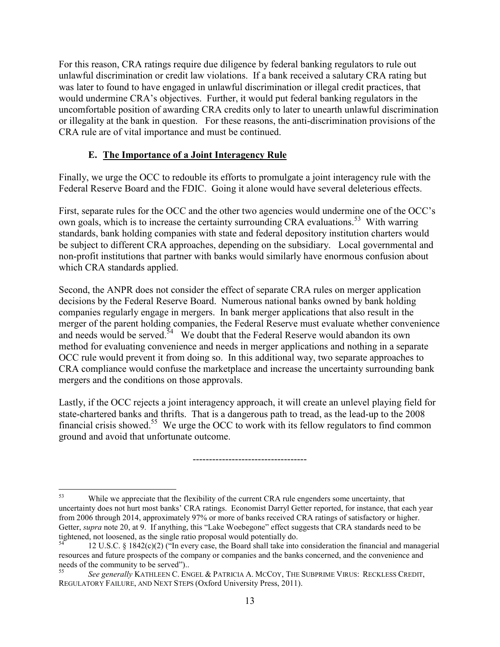For this reason, CRA ratings require due diligence by federal banking regulators to rule out unlawful discrimination or credit law violations. If a bank received a salutary CRA rating but was later to found to have engaged in unlawful discrimination or illegal credit practices, that would undermine CRA's objectives. Further, it would put federal banking regulators in the uncomfortable position of awarding CRA credits only to later to unearth unlawful discrimination or illegality at the bank in question. For these reasons, the anti-discrimination provisions of the CRA rule are of vital importance and must be continued.

#### **E. The Importance of a Joint Interagency Rule**

Finally, we urge the OCC to redouble its efforts to promulgate a joint interagency rule with the Federal Reserve Board and the FDIC. Going it alone would have several deleterious effects.

First, separate rules for the OCC and the other two agencies would undermine one of the OCC's own goals, which is to increase the certainty surrounding CRA evaluations.<sup>53</sup> With warring standards, bank holding companies with state and federal depository institution charters would be subject to different CRA approaches, depending on the subsidiary. Local governmental and non-profit institutions that partner with banks would similarly have enormous confusion about which CRA standards applied.

Second, the ANPR does not consider the effect of separate CRA rules on merger application decisions by the Federal Reserve Board. Numerous national banks owned by bank holding companies regularly engage in mergers. In bank merger applications that also result in the merger of the parent holding companies, the Federal Reserve must evaluate whether convenience and needs would be served.<sup>54</sup> We doubt that the Federal Reserve would abandon its own method for evaluating convenience and needs in merger applications and nothing in a separate OCC rule would prevent it from doing so. In this additional way, two separate approaches to CRA compliance would confuse the marketplace and increase the uncertainty surrounding bank mergers and the conditions on those approvals.

Lastly, if the OCC rejects a joint interagency approach, it will create an unlevel playing field for state-chartered banks and thrifts. That is a dangerous path to tread, as the lead-up to the 2008 financial crisis showed.<sup>55</sup> We urge the OCC to work with its fellow regulators to find common ground and avoid that unfortunate outcome.

-----------------------------------

<sup>&</sup>lt;u>.</u> While we appreciate that the flexibility of the current CRA rule engenders some uncertainty, that uncertainty does not hurt most banks' CRA ratings. Economist Darryl Getter reported, for instance, that each year from 2006 through 2014, approximately 97% or more of banks received CRA ratings of satisfactory or higher. Getter, *supra* note 20, at 9. If anything, this "Lake Woebegone" effect suggests that CRA standards need to be tightened, not loosened, as the single ratio proposal would potentially do.

<sup>54</sup> 12 U.S.C. § 1842(c)(2) ("In every case, the Board shall take into consideration the financial and managerial resources and future prospects of the company or companies and the banks concerned, and the convenience and needs of the community to be served")..

<sup>55</sup> *See generally* KATHLEEN C. ENGEL & PATRICIA A. MCCOY, THE SUBPRIME VIRUS: RECKLESS CREDIT, REGULATORY FAILURE, AND NEXT STEPS (Oxford University Press, 2011).